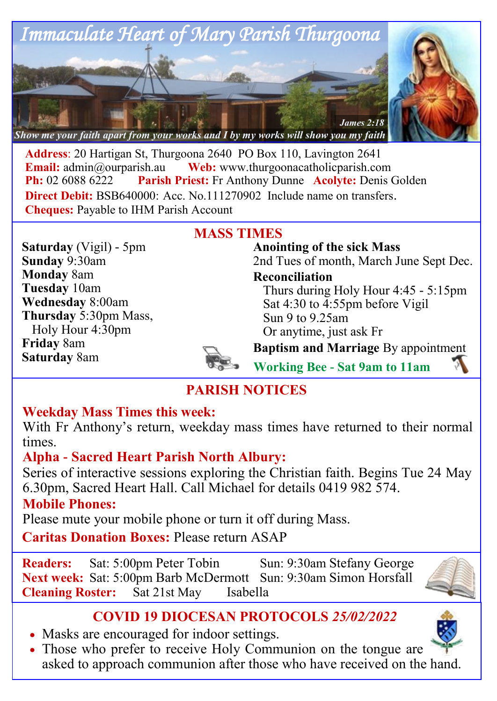

**Address**: 20 Hartigan St, Thurgoona 2640 PO Box 110, Lavington 2641 **Email:**  $\alpha$ <sup>o</sup> admin $\alpha$ <sup>o</sup> aurearish.au **Web:** www.thurgoonacatholicparish.com **Ph:** 02 6088 6222 **Parish Priest:** Fr Anthony Dunne **Acolyte:** Denis Golden **Direct Debit: BSB640000: Acc. No.111270902** Include name on transfers. **Cheques:** Payable to IHM Parish Account

**MASS TIMES**

**Saturday** (Vigil) - 5pm **Sunday** 9:30am **Monday** 8am **Tuesday** 10am **Wednesday** 8:00am **Thursday** 5:30pm Mass, Holy Hour 4:30pm **Friday** 8am **Saturday** 8am

**Anointing of the sick Mass** 2nd Tues of month, March June Sept Dec.

**Reconciliation**  Thurs during Holy Hour 4:45 - 5:15pm Sat 4:30 to 4:55pm before Vigil Sun 9 to 9.25am

Or anytime, just ask Fr

**Baptism and Marriage** By appointment

**Working Bee - Sat 9am to 11am**

# **PARISH NOTICES**

### **Weekday Mass Times this week:**

With Fr Anthony's return, weekday mass times have returned to their normal times.

## **Alpha - Sacred Heart Parish North Albury:**

Series of interactive sessions exploring the Christian faith. Begins Tue 24 May 6.30pm, Sacred Heart Hall. Call Michael for details 0419 982 574.

### **Mobile Phones:**

Please mute your mobile phone or turn it off during Mass.

**Caritas Donation Boxes:** Please return ASAP

**Readers:** Sat: 5:00pm Peter Tobin Sun: 9:30am Stefany George **Next week:** Sat: 5:00pm Barb McDermott Sun: 9:30am Simon Horsfall **Cleaning Roster:** Sat 21st May Isabella



# **COVID 19 DIOCESAN PROTOCOLS** *25/02/2022*

- Masks are encouraged for indoor settings.
- Those who prefer to receive Holy Communion on the tongue are asked to approach communion after those who have received on the hand.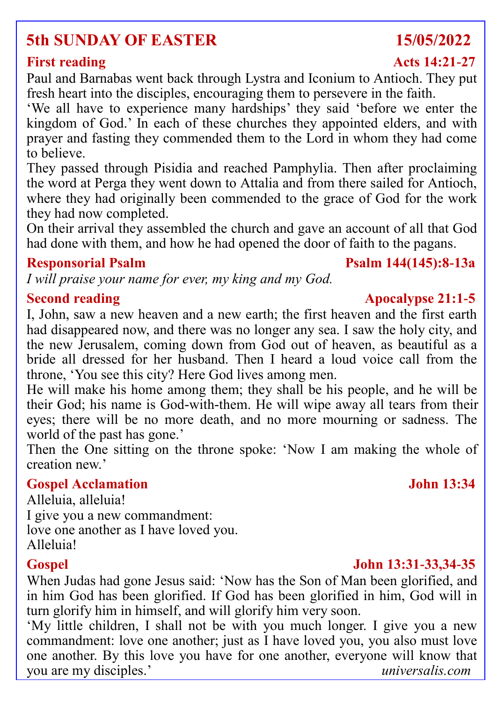# **5th SUNDAY OF EASTER 15/05/2022**

Paul and Barnabas went back through Lystra and Iconium to Antioch. They put fresh heart into the disciples, encouraging them to persevere in the faith.

'We all have to experience many hardships' they said 'before we enter the kingdom of God.' In each of these churches they appointed elders, and with prayer and fasting they commended them to the Lord in whom they had come to believe.

They passed through Pisidia and reached Pamphylia. Then after proclaiming the word at Perga they went down to Attalia and from there sailed for Antioch, where they had originally been commended to the grace of God for the work they had now completed.

On their arrival they assembled the church and gave an account of all that God had done with them, and how he had opened the door of faith to the pagans.

### **Responsorial Psalm Psalm 144(145):8-13a**

*I will praise your name for ever, my king and my God.*

### **Second reading the Second reading the Second reading the Second reading the Second reading the Second reading the Second reading the Second reading the Second reading the Second reading the Second reading the Second readi**

I, John, saw a new heaven and a new earth; the first heaven and the first earth had disappeared now, and there was no longer any sea. I saw the holy city, and the new Jerusalem, coming down from God out of heaven, as beautiful as a bride all dressed for her husband. Then I heard a loud voice call from the throne, 'You see this city? Here God lives among men.

He will make his home among them; they shall be his people, and he will be their God; his name is God-with-them. He will wipe away all tears from their eyes; there will be no more death, and no more mourning or sadness. The world of the past has gone.'

Then the One sitting on the throne spoke: 'Now I am making the whole of creation new.'

### **Gospel Acclamation John 13:34**

Alleluia, alleluia! I give you a new commandment: love one another as I have loved you. Alleluia!

### **Gospel John 13:31-33,34-35**

When Judas had gone Jesus said: 'Now has the Son of Man been glorified, and in him God has been glorified. If God has been glorified in him, God will in turn glorify him in himself, and will glorify him very soon.

'My little children, I shall not be with you much longer. I give you a new commandment: love one another; just as I have loved you, you also must love one another. By this love you have for one another, everyone will know that you are my disciples.' *universalis.com*

### **First reading Acts 14:21-27**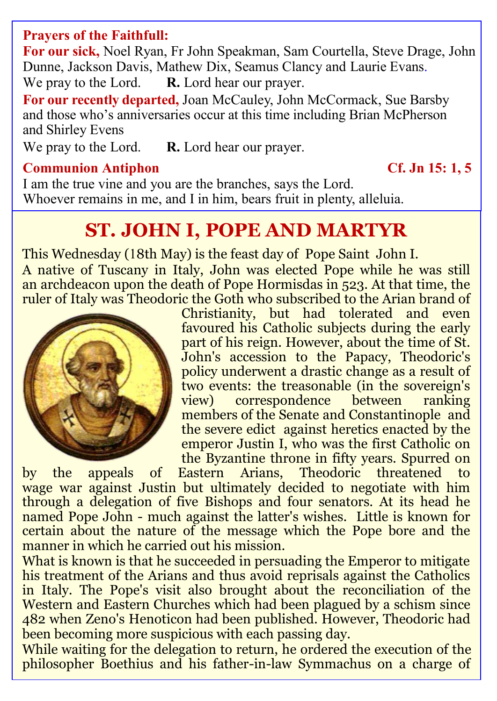### **Prayers of the Faithfull:**

**For our sick,** Noel Ryan, Fr John Speakman, Sam Courtella, Steve Drage, John Dunne, Jackson Davis, Mathew Dix, Seamus Clancy and Laurie Evans.

We pray to the Lord. **R.** Lord hear our prayer.

**For our recently departed,** Joan McCauley, John McCormack, Sue Barsby and those who's anniversaries occur at this time including Brian McPherson and Shirley Evens

We pray to the Lord. **R.** Lord hear our prayer.

### **Communion Antiphon Cf. Jn 15: 1, 5**

I am the true vine and you are the branches, says the Lord. Whoever remains in me, and I in him, bears fruit in plenty, alleluia.

# **ST. [JOHN](https://www.catholic.org/bible/book.php?id=50) I, POPE AND MARTYR**

This Wednesday (18th May) is the feast day of Pope Saint John I. A native of [Tuscany](https://www.catholic.org/encyclopedia/view.php?id=11759) in Italy, [John](https://www.catholic.org/bible/book.php?id=50) was elected Pope while he was still an [archdeacon](https://www.catholic.org/encyclopedia/view.php?id=1017) upon the death of Pope Hormisdas in 523. At that time, the ruler of [Italy](https://www.catholic.org/encyclopedia/view.php?id=6217) was Theodoric the Goth who subscribed to the Arian brand of



Christianity, but had tolerated and even favoured his [Catholic](https://www.catholic.org/encyclopedia/view.php?id=2678) subjects during the early part of his reign. However, about the time of St. John's [accession](https://www.catholic.org/encyclopedia/view.php?id=106) to the Papacy, Theodoric's policy underwent a drastic change as a result of two events: the treasonable (in the sovereign's view) correspondence between ranking members of the Senate and [Constantinople](https://www.catholic.org/encyclopedia/view.php?id=3297) and the severe edict against heretics enacted by the emperor Justin I, who was the first [Catholic](https://www.catholic.org/encyclopedia/view.php?id=2678) on the Byzantine [throne](https://www.catholic.org/encyclopedia/view.php?id=11541) in fifty years. Spurred on

by the [appeals](https://www.catholic.org/encyclopedia/view.php?id=966) of Eastern Arians, Theodoric threatened to wage [war](https://www.catholic.org/encyclopedia/view.php?id=12206) against Justin but ultimately decided to negotiate with him through a [delegation](https://www.catholic.org/encyclopedia/view.php?id=3734) of five [Bishops](https://www.catholic.org/encyclopedia/view.php?id=1918) and four senators. At its head he named Pope [John](https://www.catholic.org/bible/book.php?id=50) - much against the latter's wishes. Little is known for certain about the [nature](https://www.catholic.org/encyclopedia/view.php?id=8348) of the message which the Pope bore and the manner in which he carried out his mission.

What is known is that he succeeded in persuading the Emperor to mitigate his treatment of the Arians and thus avoid reprisals against the Catholics in Italy. The Pope's visit also brought about the reconciliation of the Western and [Eastern Churches](https://www.catholic.org/encyclopedia/view.php?id=4118) which had been plagued by a schism since 482 when Zeno's [Henoticon](https://www.catholic.org/encyclopedia/view.php?id=5649) had been published. However, Theodoric had been becoming more suspicious with each passing day.

While waiting for the [delegation](https://www.catholic.org/encyclopedia/view.php?id=3734) to return, he ordered the execution of the philosopher Boethius and his father-in-law Symmachus on a charge of